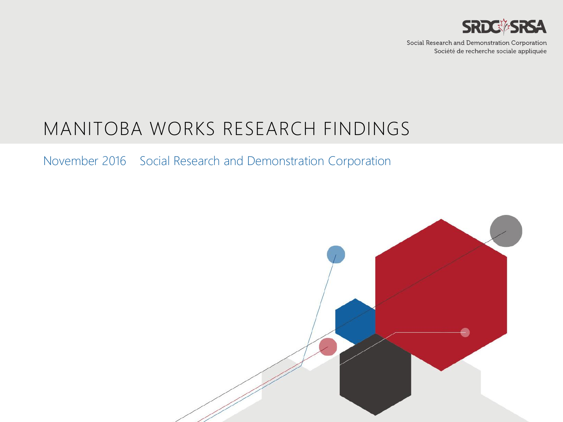

Social Research and Demonstration Corporation Société de recherche sociale appliquée

## MANITOBA WORKS RESEARCH FINDINGS

November 2016 Social Research and Demonstration Corporation

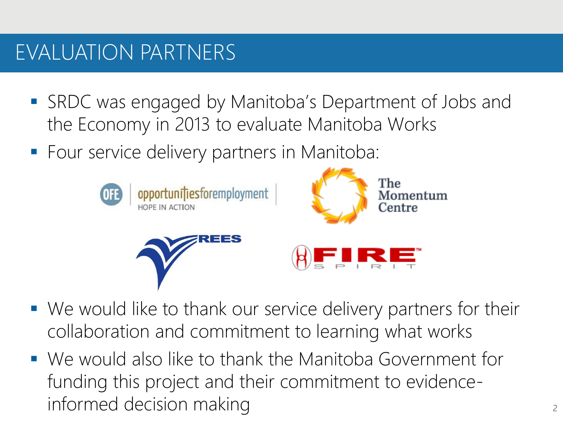## EVALUATION PARTNERS

- SRDC was engaged by Manitoba's Department of Jobs and the Economy in 2013 to evaluate Manitoba Works
- **Four service delivery partners in Manitoba:**



- We would like to thank our service delivery partners for their collaboration and commitment to learning what works
- We would also like to thank the Manitoba Government for funding this project and their commitment to evidenceinformed decision making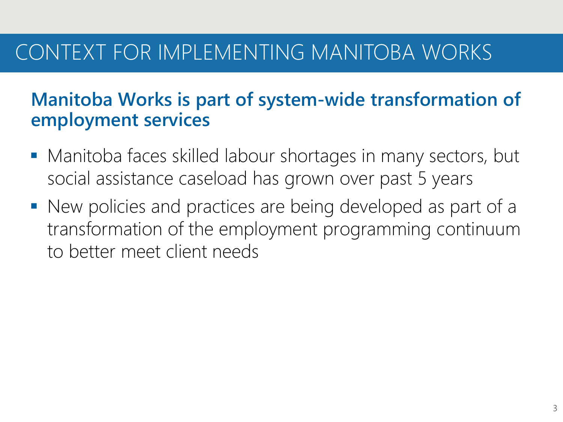## CONTEXT FOR IMPLEMENTING MANITOBA WORKS

## **Manitoba Works is part of system-wide transformation of employment services**

- Manitoba faces skilled labour shortages in many sectors, but social assistance caseload has grown over past 5 years
- New policies and practices are being developed as part of a transformation of the employment programming continuum to better meet client needs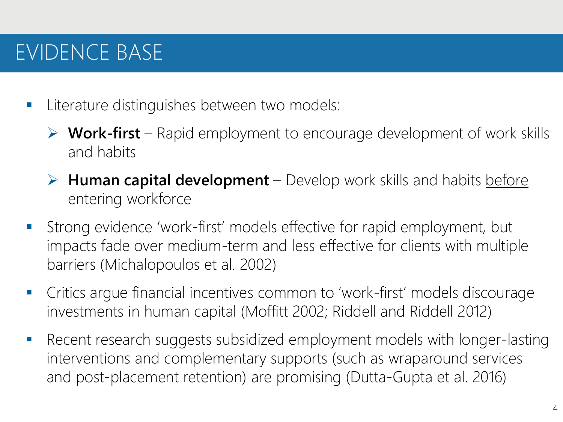# EVIDENCE BASE

- **Literature distinguishes between two models:** 
	- **Work-first** Rapid employment to encourage development of work skills and habits
	- **► Human capital development** Develop work skills and habits before entering workforce
- Strong evidence 'work-first' models effective for rapid employment, but impacts fade over medium-term and less effective for clients with multiple barriers (Michalopoulos et al. 2002)
- Critics argue financial incentives common to 'work-first' models discourage investments in human capital (Moffitt 2002; Riddell and Riddell 2012)
- Recent research suggests subsidized employment models with longer-lasting interventions and complementary supports (such as wraparound services and post-placement retention) are promising (Dutta-Gupta et al. 2016)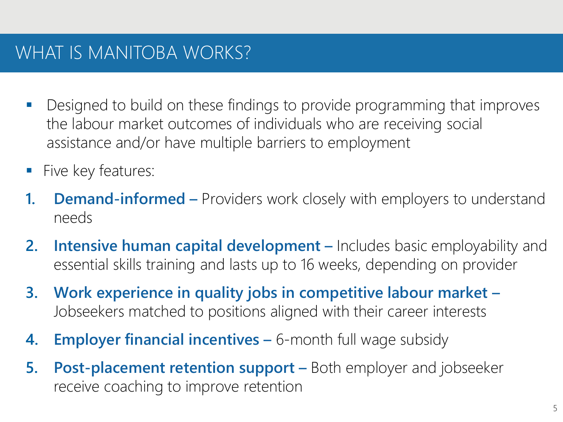## WHAT IS MANITOBA WORKS?

- **Designed to build on these findings to provide programming that improves** the labour market outcomes of individuals who are receiving social assistance and/or have multiple barriers to employment
- **Five key features:**
- **1. Demand-informed –** Providers work closely with employers to understand needs
- **2. Intensive human capital development –** Includes basic employability and essential skills training and lasts up to 16 weeks, depending on provider
- **3. Work experience in quality jobs in competitive labour market –** Jobseekers matched to positions aligned with their career interests
- **4. Employer financial incentives –** 6-month full wage subsidy
- **5. Post-placement retention support –** Both employer and jobseeker receive coaching to improve retention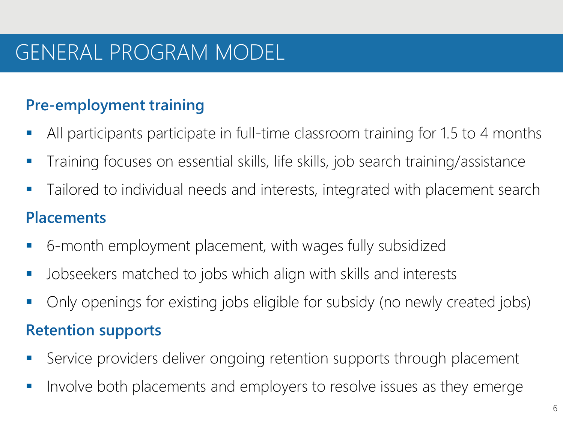## GENERAL PROGRAM MODEL

#### **Pre-employment training**

- All participants participate in full-time classroom training for 1.5 to 4 months
- Training focuses on essential skills, life skills, job search training/assistance
- **Tailored to individual needs and interests, integrated with placement search**

#### **Placements**

- 6-month employment placement, with wages fully subsidized
- **Jobseekers matched to jobs which align with skills and interests**
- Only openings for existing jobs eligible for subsidy (no newly created jobs)

#### **Retention supports**

- Service providers deliver ongoing retention supports through placement
- **IF Involve both placements and employers to resolve issues as they emerge**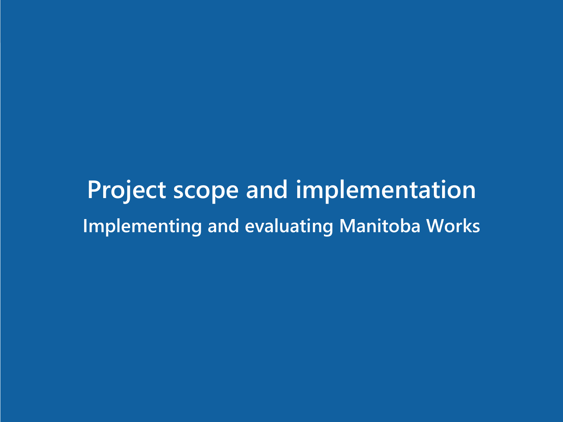**Project scope and implementation Implementing and evaluating Manitoba Works**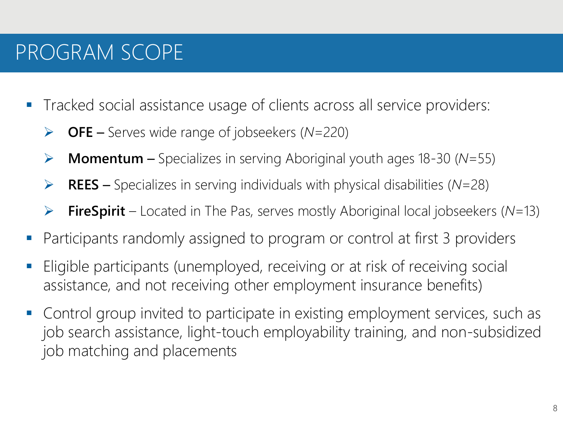# PROGRAM SCOPE

- Tracked social assistance usage of clients across all service providers:
	- **OFE** Serves wide range of jobseekers (*N*=220)
	- **Momentum** Specializes in serving Aboriginal youth ages 18-30 (*N*=55)
	- **REES** Specializes in serving individuals with physical disabilities (*N*=28)
	- **FireSpirit** Located in The Pas, serves mostly Aboriginal local jobseekers (*N*=13)
- Participants randomly assigned to program or control at first 3 providers
- Eligible participants (unemployed, receiving or at risk of receiving social assistance, and not receiving other employment insurance benefits)
- **Control group invited to participate in existing employment services, such as** job search assistance, light-touch employability training, and non-subsidized job matching and placements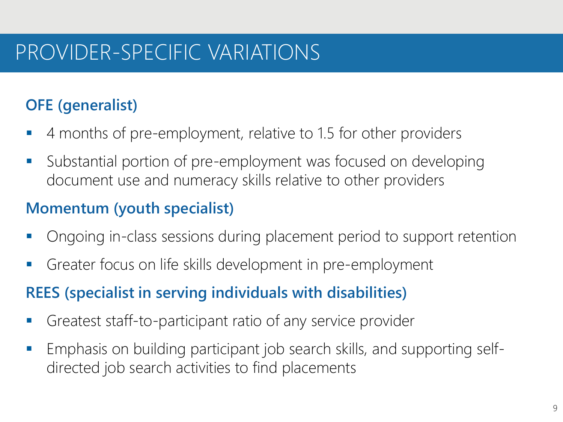## PROVIDER-SPECIFIC VARIATIONS

### **OFE (generalist)**

- 4 months of pre-employment, relative to 1.5 for other providers
- Substantial portion of pre-employment was focused on developing document use and numeracy skills relative to other providers

#### **Momentum (youth specialist)**

- Ongoing in-class sessions during placement period to support retention
- Greater focus on life skills development in pre-employment

#### **REES (specialist in serving individuals with disabilities)**

- Greatest staff-to-participant ratio of any service provider
- Emphasis on building participant job search skills, and supporting selfdirected job search activities to find placements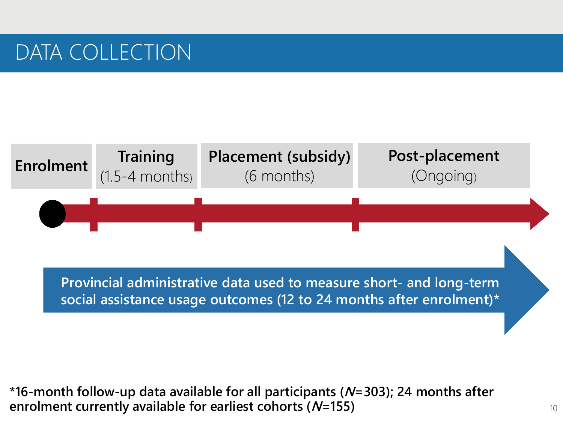## DATA COLLECTION



**Provincial administrative data used to measure short- and long-term social assistance usage outcomes (12 to 24 months after enrolment)\***

**\*16-month follow-up data available for all participants (N=303); 24 months after enrolment currently available for earliest cohorts (N=155)**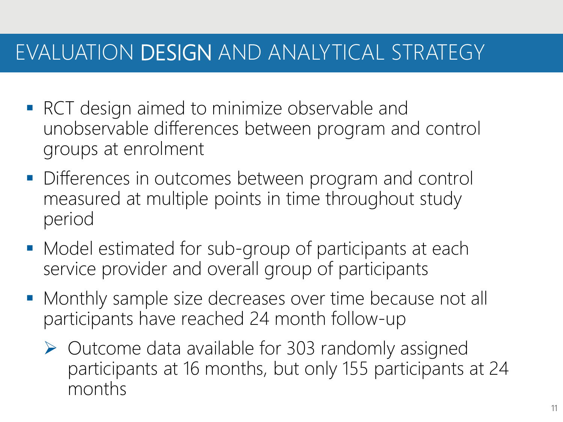## EVALUATION DESIGN AND ANALYTICAL STRATEGY

- **RCT** design aimed to minimize observable and unobservable differences between program and control groups at enrolment
- **Differences in outcomes between program and control** measured at multiple points in time throughout study period
- **Model estimated for sub-group of participants at each** service provider and overall group of participants
- **Monthly sample size decreases over time because not all** participants have reached 24 month follow-up
	- $\triangleright$  Outcome data available for 303 randomly assigned participants at 16 months, but only 155 participants at 24 months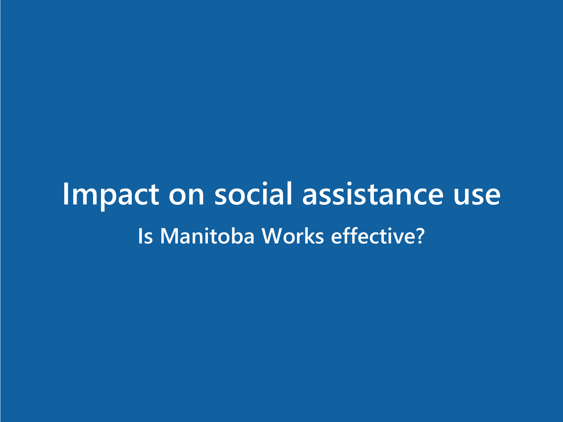**Impact on social assistance use Is Manitoba Works effective?**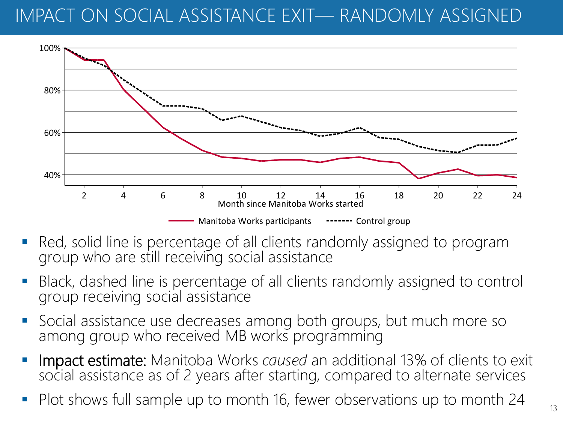## IMPACT ON SOCIAL ASSISTANCE EXIT— RANDOMLY ASSIGNED



- Red, solid line is percentage of all clients randomly assigned to program group who are still receiving social assistance
- Black, dashed line is percentage of all clients randomly assigned to control group receiving social assistance
- **Social assistance use decreases among both groups, but much more so** among group who received MB works programming
- Impact estimate: Manitoba Works *caused* an additional 13% of clients to exit social assistance as of 2 years after starting, compared to alternate services
- Plot shows full sample up to month 16, fewer observations up to month 24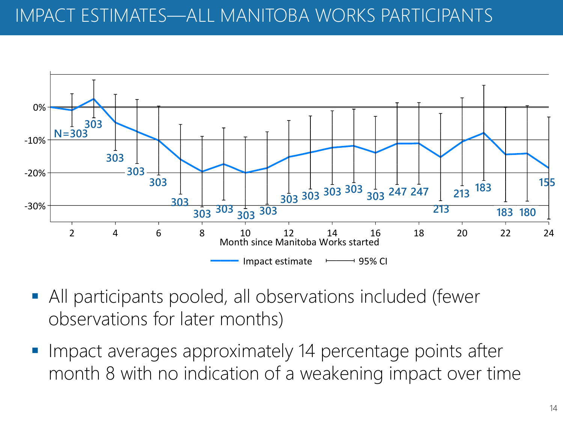## IMPACT ESTIMATES—ALL MANITOBA WORKS PARTICIPANTS



- All participants pooled, all observations included (fewer observations for later months)
- Impact averages approximately 14 percentage points after month 8 with no indication of a weakening impact over time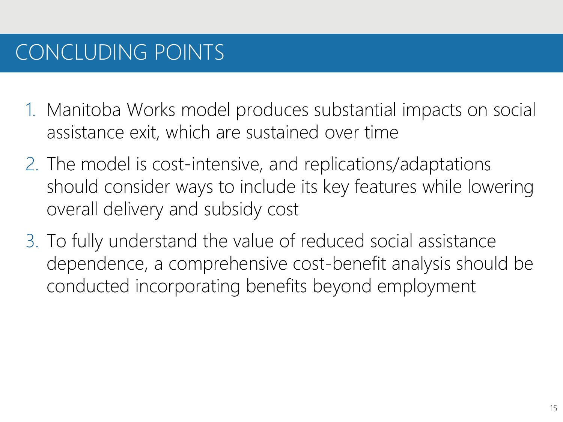# CONCLUDING POINTS

- 1. Manitoba Works model produces substantial impacts on social assistance exit, which are sustained over time
- 2. The model is cost-intensive, and replications/adaptations should consider ways to include its key features while lowering overall delivery and subsidy cost
- 3. To fully understand the value of reduced social assistance dependence, a comprehensive cost-benefit analysis should be conducted incorporating benefits beyond employment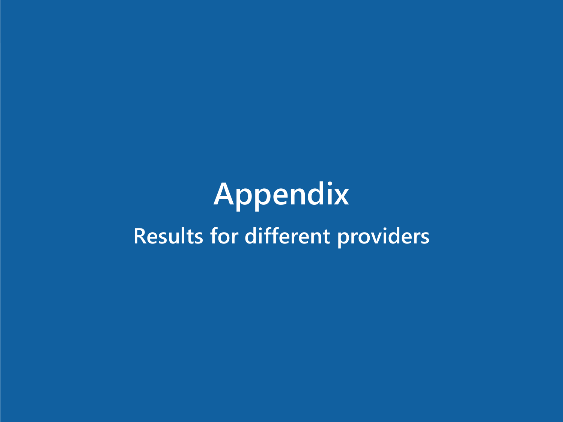# **Appendix Results for different providers**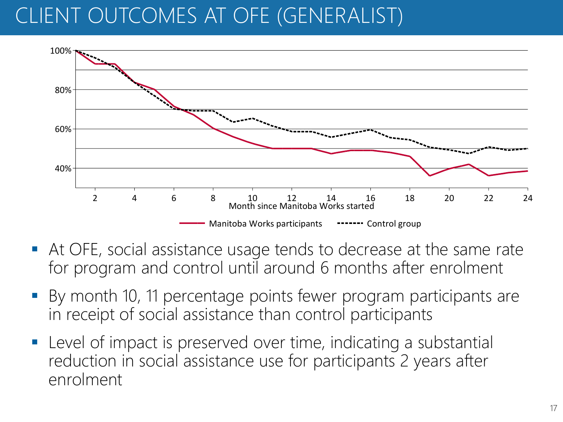# CLIENT OUTCOMES AT OFE (GENERALIST)



- At OFE, social assistance usage tends to decrease at the same rate for program and control until around 6 months after enrolment
- By month 10, 11 percentage points fewer program participants are in receipt of social assistance than control participants
- Level of impact is preserved over time, indicating a substantial reduction in social assistance use for participants 2 years after enrolment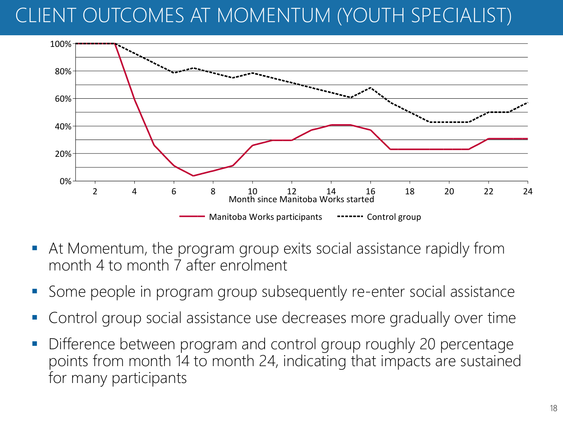# CLIENT OUTCOMES AT MOMENTUM (YOUTH SPECIALIST)



- At Momentum, the program group exits social assistance rapidly from month 4 to month 7 after enrolment
- Some people in program group subsequently re-enter social assistance
- Control group social assistance use decreases more gradually over time
- **Difference between program and control group roughly 20 percentage** points from month 14 to month 24, indicating that impacts are sustained for many participants